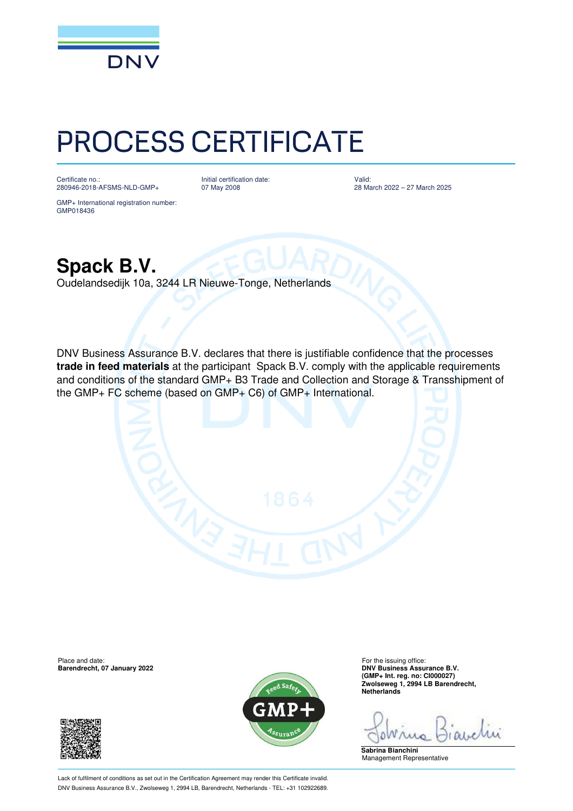

## PROCESS CERTIFICATE

Certificate no.: 280946-2018-AFSMS-NLD-GMP+ Initial certification date: 07 May 2008

Valid: 28 March 2022 – 27 March 2025

GMP+ International registration number: GMP018436

**Spack B.V.**

Oudelandsedijk 10a, 3244 LR Nieuwe-Tonge, Netherlands

DNV Business Assurance B.V. declares that there is justifiable confidence that the processes **trade in feed materials** at the participant Spack B.V. comply with the applicable requirements and conditions of the standard GMP+ B3 Trade and Collection and Storage & Transshipment of the GMP+ FC scheme (based on GMP+ C6) of GMP+ International.

**Barendrecht, 07 January 2022** 





Place and date:<br> **Place and date:** For the issuing office:<br> **Barendrecht, 07 January 2022 Contract and Service and Service Contract and Service Contract B.V. (GMP+ Int. reg. no: CI000027) Zwolseweg 1, 2994 LB Barendrecht, Netherlands**

D

**Sabrina Bianchini** Management Representative

Lack of fulfilment of conditions as set out in the Certification Agreement may render this Certificate invalid. DNV Business Assurance B.V., Zwolseweg 1, 2994 LB, Barendrecht, Netherlands - TEL: +31 102922689.